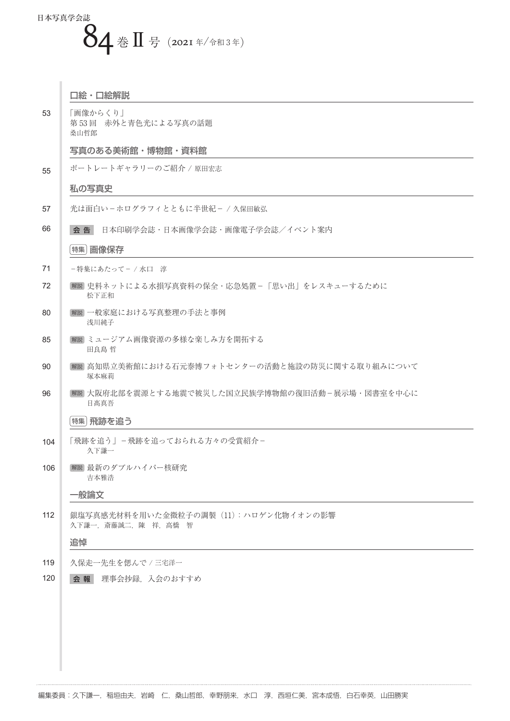## 日本写真学会誌  $84 \pm \text{I}$ 号(2021年/令和3年)

 $\bar{\phantom{a}}$ 

|     | 口絵・口絵解説                                                         |
|-----|-----------------------------------------------------------------|
| 53  | 「画像からくり」<br>第53回 赤外と青色光による写真の話題<br>桑山哲郎                         |
|     | 写真のある美術館・博物館・資料館                                                |
| 55  | ポートレートギャラリーのご紹介 / 原田宏志                                          |
|     | 私の写真史                                                           |
| 57  | 光は面白いーホログラフィとともに半世紀ー / 久保田敏弘                                    |
| 66  | 会告<br>日本印刷学会誌・日本画像学会誌・画像電子学会誌/イベント案内                            |
|     | 特集 画像保存                                                         |
| 71  | -特集にあたって-/水口 淳                                                  |
| 72  | 解説 史料ネットによる水損写真資料の保全・応急処置-「思い出」をレスキューするために<br>松下正和              |
| 80  | [解説] 一般家庭における写真整理の手法と事例<br>浅川純子                                 |
| 85  | 解説 ミュージアム画像資源の多様な楽しみ方を開拓する<br>田良島 哲                             |
| 90  | 解説 高知県立美術館における石元泰博フォトセンターの活動と施設の防災に関する取り組みについて<br>塚本麻莉          |
| 96  | 解説 大阪府北部を震源とする地震で被災した国立民族学博物館の復旧活動-展示場・図書室を中心に<br>日高真吾          |
|     | 特集 飛跡を追う                                                        |
| 104 | 「飛跡を追う」-飛跡を追っておられる方々の受賞紹介-<br>久下謙一                              |
| 106 | [解説] 最新のダブルハイパー核研究<br>吉本雅浩                                      |
|     | ·般論文                                                            |
| 112 | 銀塩写真感光材料を用いた金微粒子の調製 (11): ハロゲン化物イオンの影響<br>久下謙一, 斎藤誠二, 陳 祥, 高橋 智 |
|     | 追悼                                                              |
| 119 | 久保走一先生を偲んで / 三宅洋一                                               |
| 120 | 会報<br>理事会抄録、入会のおすすめ                                             |
|     |                                                                 |
|     |                                                                 |